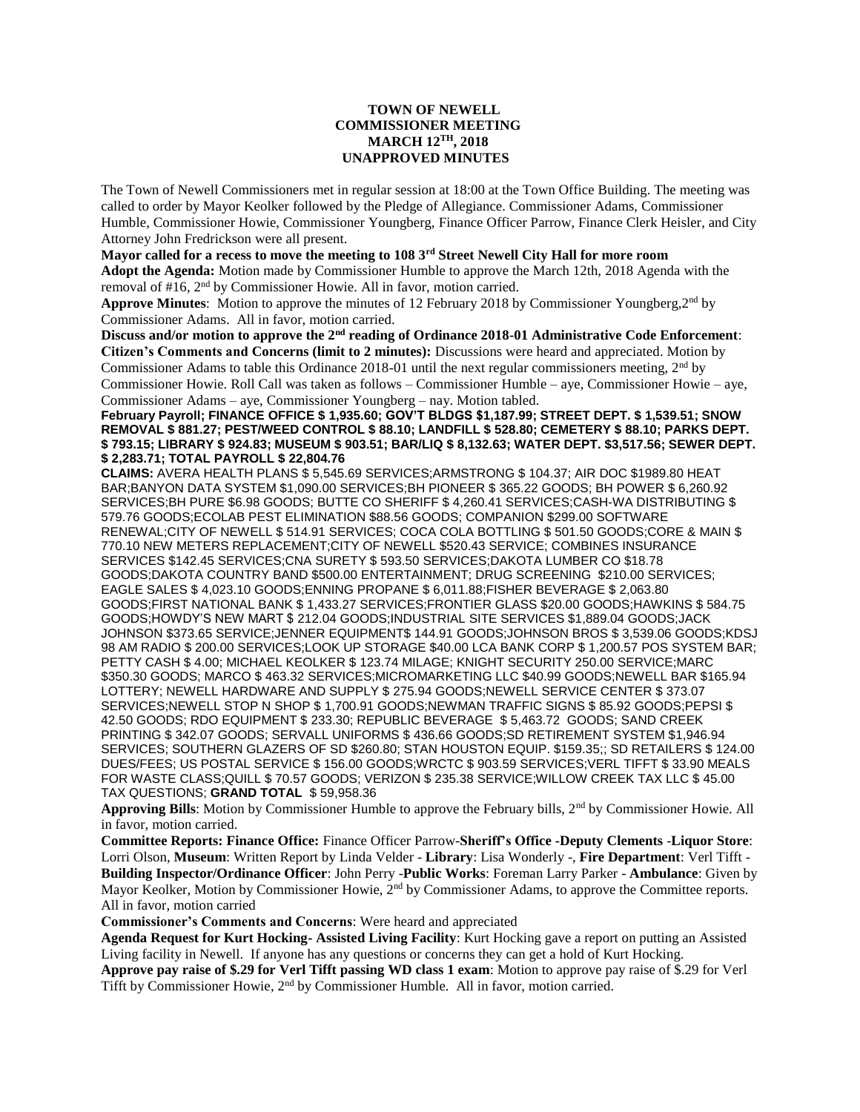## **TOWN OF NEWELL COMMISSIONER MEETING MARCH 12TH, 2018 UNAPPROVED MINUTES**

The Town of Newell Commissioners met in regular session at 18:00 at the Town Office Building. The meeting was called to order by Mayor Keolker followed by the Pledge of Allegiance. Commissioner Adams, Commissioner Humble, Commissioner Howie, Commissioner Youngberg, Finance Officer Parrow, Finance Clerk Heisler, and City Attorney John Fredrickson were all present.

**Mayor called for a recess to move the meeting to 108 3rd Street Newell City Hall for more room Adopt the Agenda:** Motion made by Commissioner Humble to approve the March 12th, 2018 Agenda with the removal of #16, 2<sup>nd</sup> by Commissioner Howie. All in favor, motion carried.

**Approve Minutes**: Motion to approve the minutes of 12 February 2018 by Commissioner Youngberg,2nd by Commissioner Adams. All in favor, motion carried.

**Discuss and/or motion to approve the 2nd reading of Ordinance 2018-01 Administrative Code Enforcement**: **Citizen's Comments and Concerns (limit to 2 minutes):** Discussions were heard and appreciated. Motion by Commissioner Adams to table this Ordinance 2018-01 until the next regular commissioners meeting, 2<sup>nd</sup> by Commissioner Howie. Roll Call was taken as follows – Commissioner Humble – aye, Commissioner Howie – aye, Commissioner Adams – aye, Commissioner Youngberg – nay. Motion tabled.

**February Payroll; FINANCE OFFICE \$ 1,935.60; GOV'T BLDGS \$1,187.99; STREET DEPT. \$ 1,539.51; SNOW REMOVAL \$ 881.27; PEST/WEED CONTROL \$ 88.10; LANDFILL \$ 528.80; CEMETERY \$ 88.10; PARKS DEPT. \$ 793.15; LIBRARY \$ 924.83; MUSEUM \$ 903.51; BAR/LIQ \$ 8,132.63; WATER DEPT. \$3,517.56; SEWER DEPT. \$ 2,283.71; TOTAL PAYROLL \$ 22,804.76**

**CLAIMS:** AVERA HEALTH PLANS \$ 5,545.69 SERVICES;ARMSTRONG \$ 104.37; AIR DOC \$1989.80 HEAT BAR;BANYON DATA SYSTEM \$1,090.00 SERVICES;BH PIONEER \$ 365.22 GOODS; BH POWER \$ 6,260.92 SERVICES;BH PURE \$6.98 GOODS; BUTTE CO SHERIFF \$ 4,260.41 SERVICES;CASH-WA DISTRIBUTING \$ 579.76 GOODS;ECOLAB PEST ELIMINATION \$88.56 GOODS; COMPANION \$299.00 SOFTWARE RENEWAL;CITY OF NEWELL \$ 514.91 SERVICES; COCA COLA BOTTLING \$ 501.50 GOODS;CORE & MAIN \$ 770.10 NEW METERS REPLACEMENT;CITY OF NEWELL \$520.43 SERVICE; COMBINES INSURANCE SERVICES \$142.45 SERVICES;CNA SURETY \$ 593.50 SERVICES;DAKOTA LUMBER CO \$18.78 GOODS;DAKOTA COUNTRY BAND \$500.00 ENTERTAINMENT; DRUG SCREENING \$210.00 SERVICES; EAGLE SALES \$ 4,023.10 GOODS;ENNING PROPANE \$ 6,011.88;FISHER BEVERAGE \$ 2,063.80 GOODS;FIRST NATIONAL BANK \$ 1,433.27 SERVICES;FRONTIER GLASS \$20.00 GOODS;HAWKINS \$ 584.75 GOODS;HOWDY'S NEW MART \$ 212.04 GOODS;INDUSTRIAL SITE SERVICES \$1,889.04 GOODS;JACK JOHNSON \$373.65 SERVICE;JENNER EQUIPMENT\$ 144.91 GOODS;JOHNSON BROS \$ 3,539.06 GOODS;KDSJ 98 AM RADIO \$ 200.00 SERVICES;LOOK UP STORAGE \$40.00 LCA BANK CORP \$ 1,200.57 POS SYSTEM BAR; PETTY CASH \$ 4.00; MICHAEL KEOLKER \$ 123.74 MILAGE; KNIGHT SECURITY 250.00 SERVICE;MARC \$350.30 GOODS; MARCO \$ 463.32 SERVICES; MICROMARKETING LLC \$40.99 GOODS; NEWELL BAR \$165.94 LOTTERY; NEWELL HARDWARE AND SUPPLY \$ 275.94 GOODS;NEWELL SERVICE CENTER \$ 373.07 SERVICES;NEWELL STOP N SHOP \$ 1,700.91 GOODS;NEWMAN TRAFFIC SIGNS \$ 85.92 GOODS;PEPSI \$ 42.50 GOODS; RDO EQUIPMENT \$ 233.30; REPUBLIC BEVERAGE \$ 5,463.72 GOODS; SAND CREEK PRINTING \$ 342.07 GOODS; SERVALL UNIFORMS \$ 436.66 GOODS;SD RETIREMENT SYSTEM \$1,946.94 SERVICES; SOUTHERN GLAZERS OF SD \$260.80; STAN HOUSTON EQUIP. \$159.35;; SD RETAILERS \$ 124.00 DUES/FEES; US POSTAL SERVICE \$ 156.00 GOODS;WRCTC \$ 903.59 SERVICES;VERL TIFFT \$ 33.90 MEALS FOR WASTE CLASS;QUILL \$ 70.57 GOODS; VERIZON \$ 235.38 SERVICE;WILLOW CREEK TAX LLC \$ 45.00 TAX QUESTIONS; **GRAND TOTAL** \$ 59,958.36

**Approving Bills**: Motion by Commissioner Humble to approve the February bills, 2<sup>nd</sup> by Commissioner Howie. All in favor, motion carried.

**Committee Reports: Finance Office:** Finance Officer Parrow-**Sheriff's Office -Deputy Clements** -**Liquor Store**: Lorri Olson, **Museum**: Written Report by Linda Velder - **Library**: Lisa Wonderly -, **Fire Department**: Verl Tifft - **Building Inspector/Ordinance Officer**: John Perry -**Public Works**: Foreman Larry Parker - **Ambulance**: Given by Mayor Keolker, Motion by Commissioner Howie, 2<sup>nd</sup> by Commissioner Adams, to approve the Committee reports. All in favor, motion carried

**Commissioner's Comments and Concerns**: Were heard and appreciated

**Agenda Request for Kurt Hocking- Assisted Living Facility**: Kurt Hocking gave a report on putting an Assisted Living facility in Newell. If anyone has any questions or concerns they can get a hold of Kurt Hocking.

**Approve pay raise of \$.29 for Verl Tifft passing WD class 1 exam**: Motion to approve pay raise of \$.29 for Verl Tifft by Commissioner Howie, 2nd by Commissioner Humble. All in favor, motion carried.